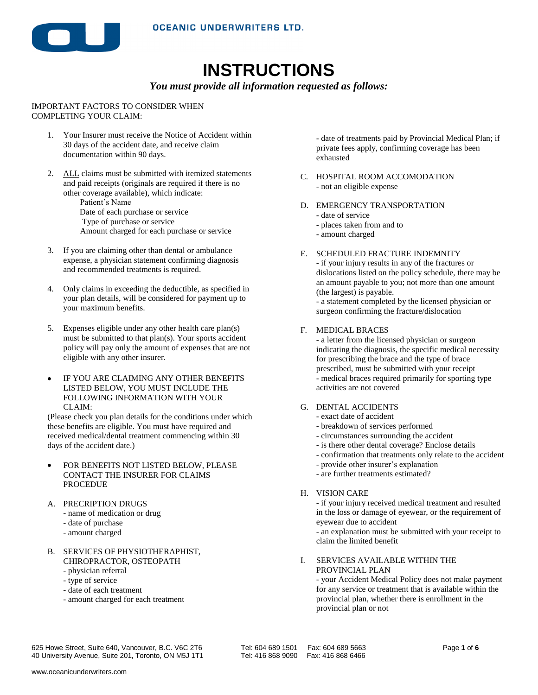

# **INSTRUCTIONS**

#### *You must provide all information requested as follows:*

#### IMPORTANT FACTORS TO CONSIDER WHEN COMPLETING YOUR CLAIM:

- 1. Your Insurer must receive the Notice of Accident within 30 days of the accident date, and receive claim documentation within 90 days.
- 2. ALL claims must be submitted with itemized statements and paid receipts (originals are required if there is no other coverage available), which indicate:

 Patient's Name Date of each purchase or service Type of purchase or service Amount charged for each purchase or service

- 3. If you are claiming other than dental or ambulance expense, a physician statement confirming diagnosis and recommended treatments is required.
- 4. Only claims in exceeding the deductible, as specified in your plan details, will be considered for payment up to your maximum benefits.
- 5. Expenses eligible under any other health care plan(s) must be submitted to that plan(s). Your sports accident policy will pay only the amount of expenses that are not eligible with any other insurer.
- IF YOU ARE CLAIMING ANY OTHER BENEFITS LISTED BELOW, YOU MUST INCLUDE THE FOLLOWING INFORMATION WITH YOUR CLAIM:

(Please check you plan details for the conditions under which these benefits are eligible. You must have required and received medical/dental treatment commencing within 30 days of the accident date.)

- FOR BENEFITS NOT LISTED BELOW, PLEASE CONTACT THE INSURER FOR CLAIMS PROCEDUE
- A. PRECRIPTION DRUGS
	- name of medication or drug
	- date of purchase
	- amount charged
- B. SERVICES OF PHYSIOTHERAPHIST, CHIROPRACTOR, OSTEOPATH
	- physician referral
	- type of service
	- date of each treatment
	- amount charged for each treatment

- date of treatments paid by Provincial Medical Plan; if private fees apply, confirming coverage has been exhausted

- C. HOSPITAL ROOM ACCOMODATION - not an eligible expense
- D. EMERGENCY TRANSPORTATION - date of service
	- places taken from and to
	- amount charged
- E. SCHEDULED FRACTURE INDEMNITY

- if your injury results in any of the fractures or dislocations listed on the policy schedule, there may be an amount payable to you; not more than one amount (the largest) is payable.

- a statement completed by the licensed physician or surgeon confirming the fracture/dislocation

F. MEDICAL BRACES

- a letter from the licensed physician or surgeon indicating the diagnosis, the specific medical necessity for prescribing the brace and the type of brace prescribed, must be submitted with your receipt - medical braces required primarily for sporting type activities are not covered

### G. DENTAL ACCIDENTS

- exact date of accident
- breakdown of services performed
- circumstances surrounding the accident
- is there other dental coverage? Enclose details
- confirmation that treatments only relate to the accident
- provide other insurer's explanation
- are further treatments estimated?

#### H. VISION CARE

- if your injury received medical treatment and resulted in the loss or damage of eyewear, or the requirement of eyewear due to accident

- an explanation must be submitted with your receipt to claim the limited benefit

I. SERVICES AVAILABLE WITHIN THE PROVINCIAL PLAN

- your Accident Medical Policy does not make payment for any service or treatment that is available within the provincial plan, whether there is enrollment in the provincial plan or not

625 Howe Street, Suite 640, Vancouver, B.C. V6C 2T6 Tel: 604 689 1501 Fax: 604 689 5663 Page **1** of **6** 40 University Avenue, Suite 201, Toronto, ON M5J 1T1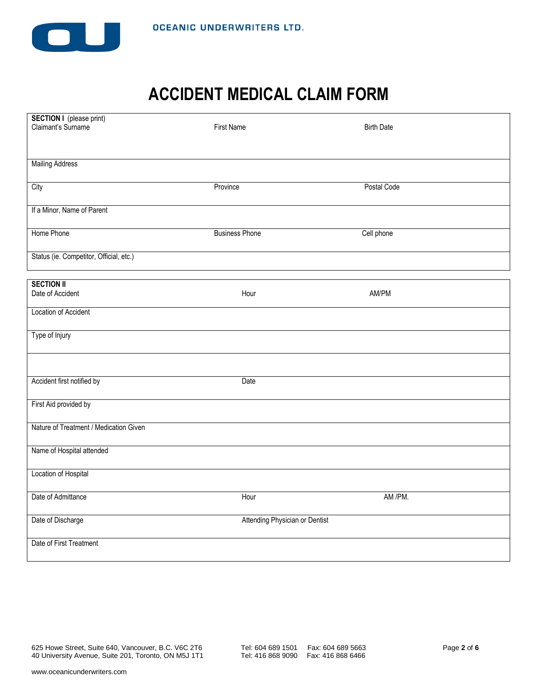

## **ACCIDENT MEDICAL CLAIM FORM**

| <b>SECTION I</b> (please print)         |                                |                   |
|-----------------------------------------|--------------------------------|-------------------|
| Claimant's Surname                      | <b>First Name</b>              | <b>Birth Date</b> |
|                                         |                                |                   |
|                                         |                                |                   |
| <b>Mailing Address</b>                  |                                |                   |
|                                         |                                |                   |
| City                                    | Province                       | Postal Code       |
|                                         |                                |                   |
| If a Minor, Name of Parent              |                                |                   |
|                                         |                                |                   |
| Home Phone                              | <b>Business Phone</b>          | Cell phone        |
|                                         |                                |                   |
| Status (ie. Competitor, Official, etc.) |                                |                   |
|                                         |                                |                   |
|                                         |                                |                   |
| <b>SECTION II</b>                       |                                |                   |
| Date of Accident                        | Hour                           | AM/PM             |
| Location of Accident                    |                                |                   |
|                                         |                                |                   |
| Type of Injury                          |                                |                   |
|                                         |                                |                   |
|                                         |                                |                   |
|                                         |                                |                   |
| Accident first notified by              | Date                           |                   |
|                                         |                                |                   |
| First Aid provided by                   |                                |                   |
|                                         |                                |                   |
| Nature of Treatment / Medication Given  |                                |                   |
|                                         |                                |                   |
|                                         |                                |                   |
| Name of Hospital attended               |                                |                   |
|                                         |                                |                   |
| Location of Hospital                    |                                |                   |
|                                         |                                |                   |
| Date of Admittance                      | Hour                           | AM /PM.           |
|                                         |                                |                   |
| Date of Discharge                       | Attending Physician or Dentist |                   |
|                                         |                                |                   |
| Date of First Treatment                 |                                |                   |
|                                         |                                |                   |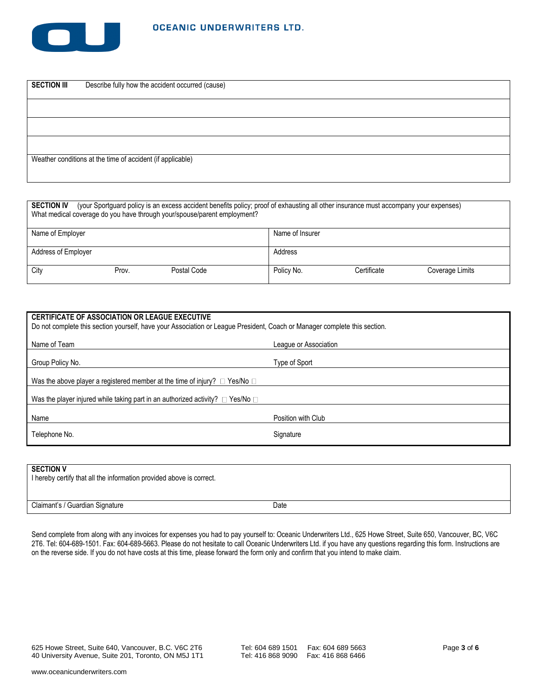

| <b>SECTION III</b> | Describe fully how the accident occurred (cause)           |
|--------------------|------------------------------------------------------------|
|                    |                                                            |
|                    |                                                            |
|                    |                                                            |
|                    | Weather conditions at the time of accident (if applicable) |

| (your Sportguard policy is an excess accident benefits policy; proof of exhausting all other insurance must accompany your expenses)<br><b>SECTION IV</b><br>What medical coverage do you have through your/spouse/parent employment? |       |             |                 |             |                 |  |  |  |  |
|---------------------------------------------------------------------------------------------------------------------------------------------------------------------------------------------------------------------------------------|-------|-------------|-----------------|-------------|-----------------|--|--|--|--|
| Name of Employer                                                                                                                                                                                                                      |       |             | Name of Insurer |             |                 |  |  |  |  |
| Address of Employer                                                                                                                                                                                                                   |       |             | Address         |             |                 |  |  |  |  |
| City                                                                                                                                                                                                                                  | Prov. | Postal Code | Policy No.      | Certificate | Coverage Limits |  |  |  |  |

| <b>CERTIFICATE OF ASSOCIATION OR LEAGUE EXECUTIVE</b><br>Do not complete this section yourself, have your Association or League President, Coach or Manager complete this section. |  |  |  |  |  |  |  |  |
|------------------------------------------------------------------------------------------------------------------------------------------------------------------------------------|--|--|--|--|--|--|--|--|
| Name of Team<br>League or Association                                                                                                                                              |  |  |  |  |  |  |  |  |
| Group Policy No.<br>Type of Sport                                                                                                                                                  |  |  |  |  |  |  |  |  |
| Was the above player a registered member at the time of injury? $\Box$ Yes/No $\Box$                                                                                               |  |  |  |  |  |  |  |  |
| Was the player injured while taking part in an authorized activity? $\Box$ Yes/No $\Box$                                                                                           |  |  |  |  |  |  |  |  |
| Name<br>Position with Club                                                                                                                                                         |  |  |  |  |  |  |  |  |
| Telephone No.<br>Signature                                                                                                                                                         |  |  |  |  |  |  |  |  |

### **SECTION V**

| <b>JEVIIUN V</b><br>I hereby certify that all the information provided above is correct. |      |
|------------------------------------------------------------------------------------------|------|
| Claimant's / Guardian Signature                                                          | Date |

Send complete from along with any invoices for expenses you had to pay yourself to: Oceanic Underwriters Ltd., 625 Howe Street, Suite 650, Vancouver, BC, V6C 2T6. Tel: 604-689-1501. Fax: 604-689-5663. Please do not hesitate to call Oceanic Underwriters Ltd. if you have any questions regarding this form. Instructions are on the reverse side. If you do not have costs at this time, please forward the form only and confirm that you intend to make claim.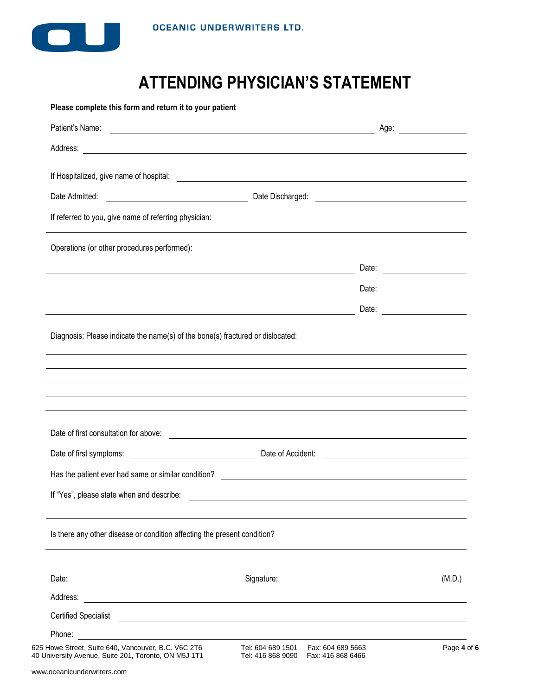

# **ATTENDING PHYSICIAN'S STATEMENT**

| Address: <u>with a series of the series of the series of the series of the series of the series of the series of the series of the series of the series of the series of the series of the series of the series of the series of</u>                                                                                                                           |                                                                                                                      |       |        |
|----------------------------------------------------------------------------------------------------------------------------------------------------------------------------------------------------------------------------------------------------------------------------------------------------------------------------------------------------------------|----------------------------------------------------------------------------------------------------------------------|-------|--------|
|                                                                                                                                                                                                                                                                                                                                                                |                                                                                                                      |       |        |
|                                                                                                                                                                                                                                                                                                                                                                |                                                                                                                      |       |        |
| If referred to you, give name of referring physician:                                                                                                                                                                                                                                                                                                          |                                                                                                                      |       |        |
| Operations (or other procedures performed):                                                                                                                                                                                                                                                                                                                    |                                                                                                                      |       |        |
| <u> 1980 - Johann Barn, fransk politik (f. 1980)</u>                                                                                                                                                                                                                                                                                                           |                                                                                                                      |       |        |
|                                                                                                                                                                                                                                                                                                                                                                |                                                                                                                      |       |        |
|                                                                                                                                                                                                                                                                                                                                                                |                                                                                                                      | Date: |        |
| ,我们也不会有什么。""我们的人,我们也不会有什么?""我们的人,我们也不会有什么?""我们的人,我们也不会有什么?""我们的人,我们也不会有什么?""我们的人                                                                                                                                                                                                                                                                               |                                                                                                                      |       |        |
|                                                                                                                                                                                                                                                                                                                                                                |                                                                                                                      |       |        |
|                                                                                                                                                                                                                                                                                                                                                                | <u> 1989 - Andrea State Barbara, amerikan personal di sebagai personal di sebagai personal di sebagai personal d</u> |       |        |
|                                                                                                                                                                                                                                                                                                                                                                |                                                                                                                      |       |        |
|                                                                                                                                                                                                                                                                                                                                                                |                                                                                                                      |       |        |
| If "Yes", please state when and describe:                                                                                                                                                                                                                                                                                                                      |                                                                                                                      |       |        |
| Date of first consultation for above:<br>Has the patient ever had same or similar condition?<br>The matter of the condition of the condition of the condition of the condition of the condition of the condition of the condition of the condition of the condition of th<br>Is there any other disease or condition affecting the present condition?<br>Date: |                                                                                                                      |       |        |
| Address:                                                                                                                                                                                                                                                                                                                                                       |                                                                                                                      |       |        |
| <u> 1989 - Andrea Stadt Britain, amerikansk politik (d. 1989)</u>                                                                                                                                                                                                                                                                                              |                                                                                                                      |       |        |
| Certified Specialist 2000 Certified Specialist 2000 Certified Specialist 2000 Certified Specialist 2000 Certified Specialist 2000 Certified Specialist 2000 Certified Specialist 2000 Certified Specialist 2000 Certified Spec<br>Phone: <u>_______________________</u>                                                                                        |                                                                                                                      |       | (M.D.) |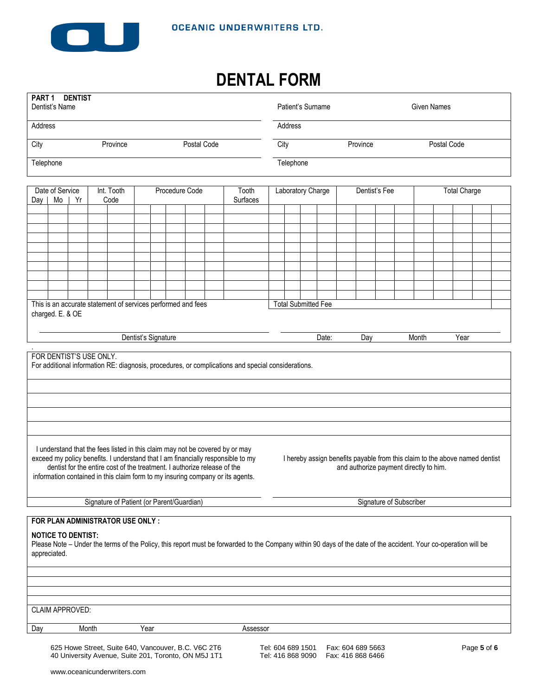

## **DENTAL FORM**

| PART 1 DENTIST<br>Dentist's Name                                                                                                                                                                                                                 |                         |  |       |                                                                                                             |                     |  | Patient's Surname |               |                                                                                                                                                                                                                                                                                                                               |                                                                                                    |                                        |                            |  |       | <b>Given Names</b>                     |             |                         |  |                                        |  |                                                                             |             |  |
|--------------------------------------------------------------------------------------------------------------------------------------------------------------------------------------------------------------------------------------------------|-------------------------|--|-------|-------------------------------------------------------------------------------------------------------------|---------------------|--|-------------------|---------------|-------------------------------------------------------------------------------------------------------------------------------------------------------------------------------------------------------------------------------------------------------------------------------------------------------------------------------|----------------------------------------------------------------------------------------------------|----------------------------------------|----------------------------|--|-------|----------------------------------------|-------------|-------------------------|--|----------------------------------------|--|-----------------------------------------------------------------------------|-------------|--|
| Address                                                                                                                                                                                                                                          |                         |  |       |                                                                                                             |                     |  |                   |               |                                                                                                                                                                                                                                                                                                                               |                                                                                                    |                                        | Address                    |  |       |                                        |             |                         |  |                                        |  |                                                                             |             |  |
| City<br>Province<br>Postal Code                                                                                                                                                                                                                  |                         |  |       |                                                                                                             |                     |  | City              |               |                                                                                                                                                                                                                                                                                                                               |                                                                                                    |                                        | Province                   |  |       |                                        | Postal Code |                         |  |                                        |  |                                                                             |             |  |
|                                                                                                                                                                                                                                                  | Telephone               |  |       |                                                                                                             |                     |  | Telephone         |               |                                                                                                                                                                                                                                                                                                                               |                                                                                                    |                                        |                            |  |       |                                        |             |                         |  |                                        |  |                                                                             |             |  |
| Date of Service<br>Int. Tooth<br>Procedure Code<br>Tooth<br>Surfaces<br>$Day \mid Mo$<br>Yr<br>Code                                                                                                                                              |                         |  |       |                                                                                                             |                     |  | Laboratory Charge | Dentist's Fee |                                                                                                                                                                                                                                                                                                                               |                                                                                                    |                                        | <b>Total Charge</b>        |  |       |                                        |             |                         |  |                                        |  |                                                                             |             |  |
|                                                                                                                                                                                                                                                  |                         |  |       |                                                                                                             |                     |  |                   |               |                                                                                                                                                                                                                                                                                                                               |                                                                                                    |                                        |                            |  |       |                                        |             |                         |  |                                        |  |                                                                             |             |  |
|                                                                                                                                                                                                                                                  |                         |  |       |                                                                                                             |                     |  |                   |               |                                                                                                                                                                                                                                                                                                                               |                                                                                                    |                                        |                            |  |       |                                        |             |                         |  |                                        |  |                                                                             |             |  |
|                                                                                                                                                                                                                                                  |                         |  |       |                                                                                                             |                     |  |                   |               |                                                                                                                                                                                                                                                                                                                               |                                                                                                    |                                        |                            |  |       |                                        |             |                         |  |                                        |  |                                                                             |             |  |
|                                                                                                                                                                                                                                                  |                         |  |       |                                                                                                             |                     |  |                   |               |                                                                                                                                                                                                                                                                                                                               |                                                                                                    |                                        |                            |  |       |                                        |             |                         |  |                                        |  |                                                                             |             |  |
|                                                                                                                                                                                                                                                  |                         |  |       |                                                                                                             |                     |  |                   |               |                                                                                                                                                                                                                                                                                                                               |                                                                                                    |                                        |                            |  |       |                                        |             |                         |  |                                        |  |                                                                             |             |  |
|                                                                                                                                                                                                                                                  |                         |  |       |                                                                                                             |                     |  |                   |               |                                                                                                                                                                                                                                                                                                                               |                                                                                                    |                                        |                            |  |       |                                        |             |                         |  |                                        |  |                                                                             |             |  |
|                                                                                                                                                                                                                                                  |                         |  |       | This is an accurate statement of services performed and fees                                                |                     |  |                   |               |                                                                                                                                                                                                                                                                                                                               |                                                                                                    |                                        | <b>Total Submitted Fee</b> |  |       |                                        |             |                         |  |                                        |  |                                                                             |             |  |
|                                                                                                                                                                                                                                                  | charged. E. & OE        |  |       |                                                                                                             |                     |  |                   |               |                                                                                                                                                                                                                                                                                                                               |                                                                                                    |                                        |                            |  |       |                                        |             |                         |  |                                        |  |                                                                             |             |  |
|                                                                                                                                                                                                                                                  |                         |  |       |                                                                                                             | Dentist's Signature |  |                   |               |                                                                                                                                                                                                                                                                                                                               |                                                                                                    |                                        |                            |  | Date: |                                        | Day         |                         |  | Month                                  |  | Year                                                                        |             |  |
|                                                                                                                                                                                                                                                  | FOR DENTIST'S USE ONLY. |  |       |                                                                                                             |                     |  |                   |               |                                                                                                                                                                                                                                                                                                                               | For additional information RE: diagnosis, procedures, or complications and special considerations. |                                        |                            |  |       |                                        |             |                         |  |                                        |  |                                                                             |             |  |
|                                                                                                                                                                                                                                                  |                         |  |       |                                                                                                             |                     |  |                   |               |                                                                                                                                                                                                                                                                                                                               |                                                                                                    |                                        |                            |  |       |                                        |             |                         |  |                                        |  |                                                                             |             |  |
|                                                                                                                                                                                                                                                  |                         |  |       |                                                                                                             |                     |  |                   |               |                                                                                                                                                                                                                                                                                                                               |                                                                                                    |                                        |                            |  |       |                                        |             |                         |  |                                        |  |                                                                             |             |  |
|                                                                                                                                                                                                                                                  |                         |  |       |                                                                                                             |                     |  |                   |               |                                                                                                                                                                                                                                                                                                                               |                                                                                                    |                                        |                            |  |       |                                        |             |                         |  |                                        |  |                                                                             |             |  |
|                                                                                                                                                                                                                                                  |                         |  |       |                                                                                                             |                     |  |                   |               | I understand that the fees listed in this claim may not be covered by or may<br>exceed my policy benefits. I understand that I am financially responsible to my<br>dentist for the entire cost of the treatment. I authorize release of the<br>information contained in this claim form to my insuring company or its agents. |                                                                                                    |                                        |                            |  |       |                                        |             |                         |  | and authorize payment directly to him. |  | I hereby assign benefits payable from this claim to the above named dentist |             |  |
|                                                                                                                                                                                                                                                  |                         |  |       | Signature of Patient (or Parent/Guardian)                                                                   |                     |  |                   |               |                                                                                                                                                                                                                                                                                                                               |                                                                                                    |                                        |                            |  |       |                                        |             | Signature of Subscriber |  |                                        |  |                                                                             |             |  |
| FOR PLAN ADMINISTRATOR USE ONLY:<br><b>NOTICE TO DENTIST:</b><br>Please Note - Under the terms of the Policy, this report must be forwarded to the Company within 90 days of the date of the accident. Your co-operation will be<br>appreciated. |                         |  |       |                                                                                                             |                     |  |                   |               |                                                                                                                                                                                                                                                                                                                               |                                                                                                    |                                        |                            |  |       |                                        |             |                         |  |                                        |  |                                                                             |             |  |
|                                                                                                                                                                                                                                                  |                         |  |       |                                                                                                             |                     |  |                   |               |                                                                                                                                                                                                                                                                                                                               |                                                                                                    |                                        |                            |  |       |                                        |             |                         |  |                                        |  |                                                                             |             |  |
|                                                                                                                                                                                                                                                  | CLAIM APPROVED:         |  |       |                                                                                                             |                     |  |                   |               |                                                                                                                                                                                                                                                                                                                               |                                                                                                    |                                        |                            |  |       |                                        |             |                         |  |                                        |  |                                                                             |             |  |
|                                                                                                                                                                                                                                                  |                         |  |       |                                                                                                             |                     |  |                   |               |                                                                                                                                                                                                                                                                                                                               |                                                                                                    |                                        |                            |  |       |                                        |             |                         |  |                                        |  |                                                                             |             |  |
| Day                                                                                                                                                                                                                                              |                         |  | Month |                                                                                                             | Year                |  |                   |               |                                                                                                                                                                                                                                                                                                                               | Assessor                                                                                           |                                        |                            |  |       |                                        |             |                         |  |                                        |  |                                                                             |             |  |
|                                                                                                                                                                                                                                                  |                         |  |       | 625 Howe Street, Suite 640, Vancouver, B.C. V6C 2T6<br>40 University Avenue, Suite 201, Toronto, ON M5J 1T1 |                     |  |                   |               |                                                                                                                                                                                                                                                                                                                               |                                                                                                    | Tel: 604 689 1501<br>Tel: 416 868 9090 |                            |  |       | Fax: 604 689 5663<br>Fax: 416 868 6466 |             |                         |  |                                        |  |                                                                             | Page 5 of 6 |  |